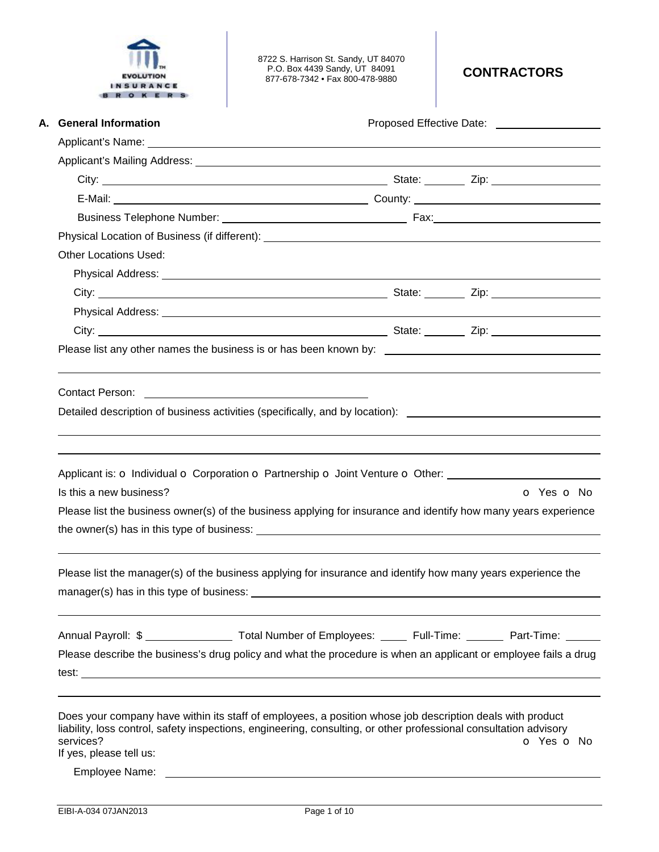

8722 S. Harrison St. Sandy, UT 84070 P.O. Box 4439 Sandy, UT 84091 877-678-7342 • Fax 800-478-9880 **CONTRACTORS** 

| A. General Information                                                                                                                                                                                                                                                 |                          |
|------------------------------------------------------------------------------------------------------------------------------------------------------------------------------------------------------------------------------------------------------------------------|--------------------------|
|                                                                                                                                                                                                                                                                        |                          |
|                                                                                                                                                                                                                                                                        |                          |
|                                                                                                                                                                                                                                                                        |                          |
|                                                                                                                                                                                                                                                                        |                          |
|                                                                                                                                                                                                                                                                        |                          |
|                                                                                                                                                                                                                                                                        |                          |
| <b>Other Locations Used:</b>                                                                                                                                                                                                                                           |                          |
|                                                                                                                                                                                                                                                                        |                          |
|                                                                                                                                                                                                                                                                        |                          |
|                                                                                                                                                                                                                                                                        |                          |
|                                                                                                                                                                                                                                                                        |                          |
|                                                                                                                                                                                                                                                                        |                          |
| Contact Person:<br><u> 1980 - Andrea Aonaichte, ann an t-Èireann an t-Èireann an t-Èireann an t-Èireann an t-Èireann an t-Èireann an </u>                                                                                                                              |                          |
| Detailed description of business activities (specifically, and by location): _________________________________                                                                                                                                                         |                          |
|                                                                                                                                                                                                                                                                        |                          |
|                                                                                                                                                                                                                                                                        |                          |
|                                                                                                                                                                                                                                                                        |                          |
|                                                                                                                                                                                                                                                                        |                          |
| Applicant is: O Individual O Corporation O Partnership O Joint Venture O Other: ____________________<br>Is this a new business?                                                                                                                                        | o Yes o No               |
|                                                                                                                                                                                                                                                                        |                          |
| Please list the business owner(s) of the business applying for insurance and identify how many years experience                                                                                                                                                        |                          |
|                                                                                                                                                                                                                                                                        |                          |
| Please list the manager(s) of the business applying for insurance and identify how many years experience the                                                                                                                                                           |                          |
| manager(s) has in this type of business:                                                                                                                                                                                                                               |                          |
|                                                                                                                                                                                                                                                                        |                          |
|                                                                                                                                                                                                                                                                        |                          |
| Annual Payroll: \$ _________________ Total Number of Employees: ______ Full-Time: ________ Part-Time: _____                                                                                                                                                            |                          |
| Please describe the business's drug policy and what the procedure is when an applicant or employee fails a drug                                                                                                                                                        |                          |
|                                                                                                                                                                                                                                                                        |                          |
| Does your company have within its staff of employees, a position whose job description deals with product<br>liability, loss control, safety inspections, engineering, consulting, or other professional consultation advisory<br>services?<br>If yes, please tell us: | <b>o</b> Yes <b>o</b> No |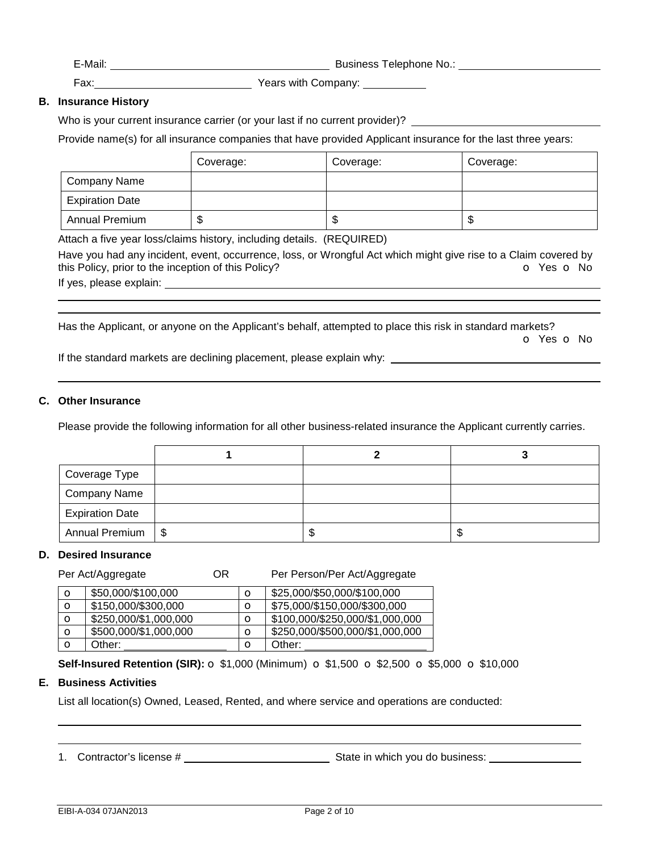E-Mail: E-Mail: E-Mail: E-Mail: E-Mail: E-Mail: E-Mail: E-Mail: E-Mail: E-Mail: E-Mail: E-Mail: E-Mail: E-Mail: E-Mail: E-Mail: E-Mail: E-Mail: E-Mail: E-Mail: E-Mail: E-Mail: E-Mail: E-Mail: E-Mail: E-Mail: E-Mail: E-Mail

Fax: Years with Company:

# **B. Insurance History**

Who is your current insurance carrier (or your last if no current provider)?

Provide name(s) for all insurance companies that have provided Applicant insurance for the last three years:

|                        | Coverage: | Coverage: | Coverage: |
|------------------------|-----------|-----------|-----------|
| Company Name           |           |           |           |
| <b>Expiration Date</b> |           |           |           |
| <b>Annual Premium</b>  | Œ         | w         | ۰D        |

Attach a five year loss/claims history, including details. (REQUIRED)

Have you had any incident, event, occurrence, loss, or Wrongful Act which might give rise to a Claim covered by this Policy, prior to the inception of this Policy? **o** Yes **o** No If yes, please explain:

Has the Applicant, or anyone on the Applicant's behalf, attempted to place this risk in standard markets?

o Yes o No

If the standard markets are declining placement, please explain why:

## **C. Other Insurance**

 

Please provide the following information for all other business-related insurance the Applicant currently carries.

| Coverage Type          |  |   |
|------------------------|--|---|
| <b>Company Name</b>    |  |   |
| <b>Expiration Date</b> |  |   |
| Annual Premium   \$    |  | Œ |

### **D. Desired Insurance**

Per Act/Aggregate **OR** Per Person/Per Act/Aggregate

| $\circ$ | \$50,000/\$100,000    | O       | \$25,000/\$50,000/\$100,000     |
|---------|-----------------------|---------|---------------------------------|
| O       | \$150,000/\$300,000   | $\circ$ | \$75,000/\$150,000/\$300,000    |
| $\circ$ | \$250,000/\$1,000,000 | O       | \$100,000/\$250,000/\$1,000,000 |
| $\circ$ | \$500,000/\$1,000,000 | O       | \$250,000/\$500,000/\$1,000,000 |
| O       | Other:                | О       | Other:                          |

**Self-Insured Retention (SIR):** o \$1,000 (Minimum) o \$1,500 o \$2,500 o \$5,000 o \$10,000

### **E. Business Activities**

 

List all location(s) Owned, Leased, Rented, and where service and operations are conducted:

1. Contractor's license # State in which you do business: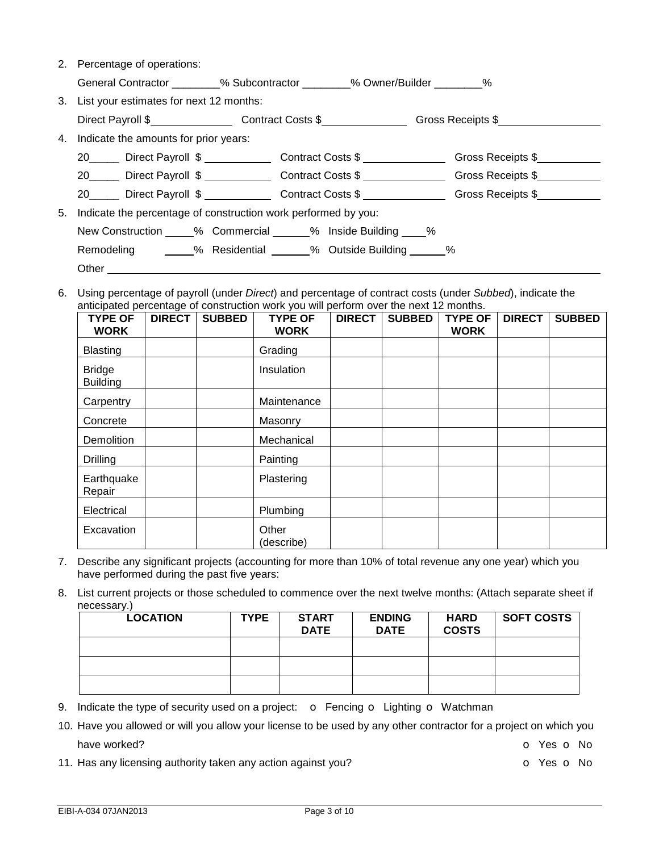| 2. Percentage of operations:               |                                                               |                                                                                                         |  |  |  |
|--------------------------------------------|---------------------------------------------------------------|---------------------------------------------------------------------------------------------------------|--|--|--|
|                                            | General Contractor $\%$ Subcontractor $\%$ Owner/Builder $\%$ |                                                                                                         |  |  |  |
| 3. List your estimates for next 12 months: |                                                               |                                                                                                         |  |  |  |
|                                            |                                                               | Direct Payroll \$______________________Contract Costs \$______________________Gross Receipts \$________ |  |  |  |
| 4. Indicate the amounts for prior years:   |                                                               |                                                                                                         |  |  |  |
| 20 Direct Payroll \$                       | Contract Costs \$                                             | Gross Receipts \$                                                                                       |  |  |  |
| 20 Direct Payroll \$                       | Contract Costs \$                                             | Gross Receipts \$                                                                                       |  |  |  |
| Direct Payroll \$<br>20                    | Contract Costs \$                                             | Gross Receipts \$                                                                                       |  |  |  |

- 5. Indicate the percentage of construction work performed by you: New Construction \_\_\_\_% Commercial \_\_\_\_\_% Inside Building \_\_\_\_% Remodeling \_\_\_\_\_% Residential \_\_\_\_\_\_% Outside Building \_\_\_\_\_\_% Other \_
- 6. Using percentage of payroll (under *Direct*) and percentage of contract costs (under *Subbed*), indicate the anticipated percentage of construction work you will perform over the next 12 months.

| <b>TYPE OF</b><br><b>WORK</b>    | <b>DIRECT</b> | <b>SUBBED</b> | <b>TYPE OF</b><br><b>WORK</b> | <b>DIRECT</b> | <b>SUBBED</b> | <b>TYPE OF</b><br><b>WORK</b> | <b>DIRECT</b> | <b>SUBBED</b> |
|----------------------------------|---------------|---------------|-------------------------------|---------------|---------------|-------------------------------|---------------|---------------|
| <b>Blasting</b>                  |               |               | Grading                       |               |               |                               |               |               |
| <b>Bridge</b><br><b>Building</b> |               |               | Insulation                    |               |               |                               |               |               |
| Carpentry                        |               |               | Maintenance                   |               |               |                               |               |               |
| Concrete                         |               |               | Masonry                       |               |               |                               |               |               |
| Demolition                       |               |               | Mechanical                    |               |               |                               |               |               |
| <b>Drilling</b>                  |               |               | Painting                      |               |               |                               |               |               |
| Earthquake<br>Repair             |               |               | Plastering                    |               |               |                               |               |               |
| Electrical                       |               |               | Plumbing                      |               |               |                               |               |               |
| Excavation                       |               |               | Other<br>(describe)           |               |               |                               |               |               |

- 7. Describe any significant projects (accounting for more than 10% of total revenue any one year) which you have performed during the past five years:
- 8. List current projects or those scheduled to commence over the next twelve months: (Attach separate sheet if necessary.)

| <b>LOCATION</b> | <b>TYPE</b> | <b>START</b><br><b>DATE</b> | <b>ENDING</b><br><b>DATE</b> | <b>HARD</b><br><b>COSTS</b> | <b>SOFT COSTS</b> |
|-----------------|-------------|-----------------------------|------------------------------|-----------------------------|-------------------|
|                 |             |                             |                              |                             |                   |
|                 |             |                             |                              |                             |                   |
|                 |             |                             |                              |                             |                   |

- 9. Indicate the type of security used on a project:  $\bullet$  Fencing  $\bullet$  Lighting  $\bullet$  Watchman
- 10. Have you allowed or will you allow your license to be used by any other contractor for a project on which you have worked? **blue vertical**  $\bullet$  Yes  $\bullet$  No. **O** Yes  $\bullet$  No. **O** Yes  $\bullet$  No. **O** Yes  $\bullet$  No.
- 11. Has any licensing authority taken any action against you? **o State State State State Authority** on No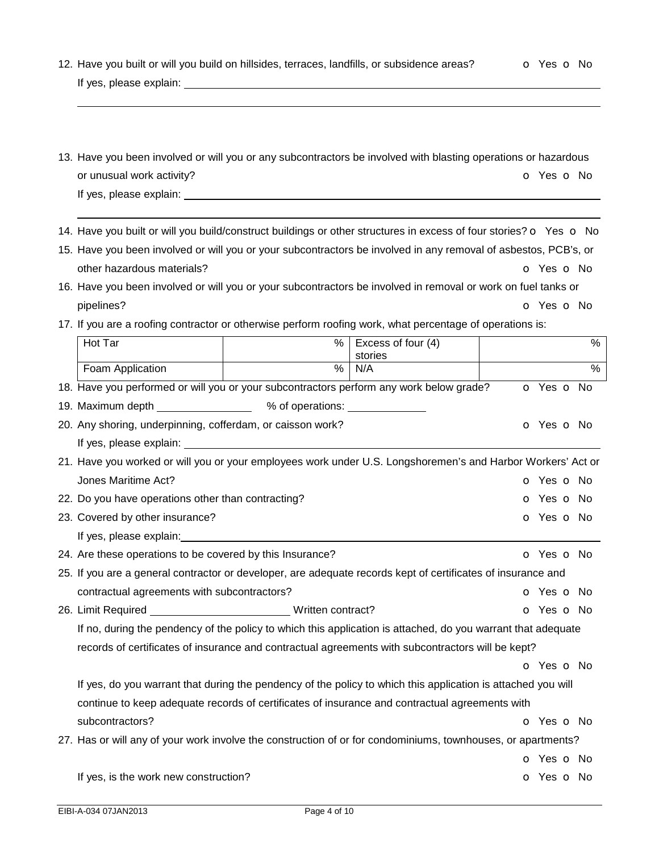| 13. Have you been involved or will you or any subcontractors be involved with blasting operations or hazardous |            |
|----------------------------------------------------------------------------------------------------------------|------------|
| or unusual work activity?                                                                                      | O Yes O No |

12. Have you built or will you build on hillsides, terraces, landfills, or subsidence areas? **o** Yes **o** No

14. Have you built or will you build/construct buildings or other structures in excess of four stories? o Yes o No

- 15. Have you been involved or will you or your subcontractors be involved in any removal of asbestos, PCB's, or other hazardous materials? **of the COV** of Yes only the COV of Yes only the COV of Yes only the COV of Yes only the COV of Yes only the COV of Yes only the COV of Texas and COV of Texas and COV of Texas and COV of Texas an
- 16. Have you been involved or will you or your subcontractors be involved in removal or work on fuel tanks or pipelines? **o** Yes **o** No

┯

17. If you are a roofing contractor or otherwise perform roofing work, what percentage of operations is:

| Hot Tar                                                                                                      | %          | Excess of four (4)<br>stories | %                        |
|--------------------------------------------------------------------------------------------------------------|------------|-------------------------------|--------------------------|
| Foam Application                                                                                             | $\%$       | N/A                           | $\frac{0}{0}$            |
| 18. Have you performed or will you or your subcontractors perform any work below grade?                      | o Yes o No |                               |                          |
| 19. Maximum depth _____________________ % of operations: _______________                                     |            |                               |                          |
| 20. Any shoring, underpinning, cofferdam, or caisson work?                                                   |            |                               | O Yes O No               |
|                                                                                                              |            |                               |                          |
| 21. Have you worked or will you or your employees work under U.S. Longshoremen's and Harbor Workers' Act or  |            |                               |                          |
| Jones Maritime Act?                                                                                          |            |                               | O Yes O No               |
| 22. Do you have operations other than contracting?                                                           |            |                               | o Yes o No               |
| 23. Covered by other insurance?                                                                              |            |                               | <b>O</b> Yes <b>O</b> No |
|                                                                                                              |            |                               |                          |
| 24. Are these operations to be covered by this Insurance?                                                    |            |                               | o Yes o No               |
| 25. If you are a general contractor or developer, are adequate records kept of certificates of insurance and |            |                               |                          |
| contractual agreements with subcontractors?                                                                  |            |                               | <b>o</b> Yes <b>o</b> No |
| 26. Limit Required __________________________________Written contract?                                       |            |                               | o Yes o No               |
| If no, during the pendency of the policy to which this application is attached, do you warrant that adequate |            |                               |                          |
| records of certificates of insurance and contractual agreements with subcontractors will be kept?            |            |                               |                          |
|                                                                                                              |            |                               | O Yes O No               |
| If yes, do you warrant that during the pendency of the policy to which this application is attached you will |            |                               |                          |
| continue to keep adequate records of certificates of insurance and contractual agreements with               |            |                               |                          |
| subcontractors?                                                                                              |            |                               | O Yes O No               |
| 27. Has or will any of your work involve the construction of or for condominiums, townhouses, or apartments? |            |                               |                          |
|                                                                                                              |            |                               | o Yes o No               |
| If yes, is the work new construction?                                                                        |            |                               | o Yes o No               |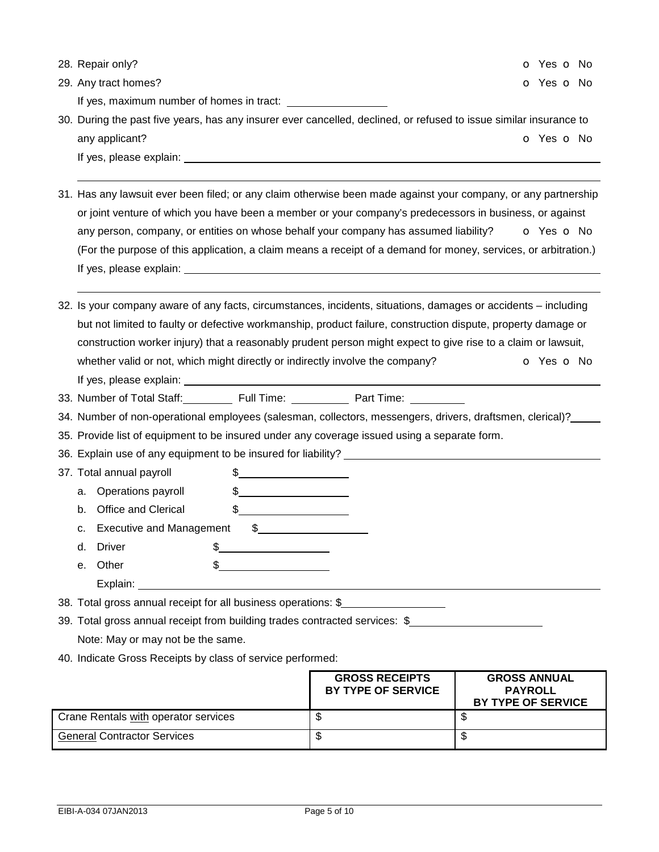|    | 28. Repair only?                                                              |                                         |                                                                                                                                                                                                                                | <b>o</b> Yes <b>o</b> No |
|----|-------------------------------------------------------------------------------|-----------------------------------------|--------------------------------------------------------------------------------------------------------------------------------------------------------------------------------------------------------------------------------|--------------------------|
|    | 29. Any tract homes?                                                          |                                         |                                                                                                                                                                                                                                | <b>o</b> Yes <b>o</b> No |
|    |                                                                               |                                         |                                                                                                                                                                                                                                |                          |
|    |                                                                               |                                         | 30. During the past five years, has any insurer ever cancelled, declined, or refused to issue similar insurance to                                                                                                             |                          |
|    | any applicant?                                                                |                                         |                                                                                                                                                                                                                                | <b>o</b> Yes <b>o</b> No |
|    |                                                                               |                                         |                                                                                                                                                                                                                                |                          |
|    |                                                                               |                                         |                                                                                                                                                                                                                                |                          |
|    |                                                                               |                                         | 31. Has any lawsuit ever been filed; or any claim otherwise been made against your company, or any partnership                                                                                                                 |                          |
|    |                                                                               |                                         | or joint venture of which you have been a member or your company's predecessors in business, or against                                                                                                                        |                          |
|    |                                                                               |                                         | any person, company, or entities on whose behalf your company has assumed liability? $\bullet$ Yes $\bullet$ No                                                                                                                |                          |
|    |                                                                               |                                         | (For the purpose of this application, a claim means a receipt of a demand for money, services, or arbitration.)                                                                                                                |                          |
|    |                                                                               |                                         |                                                                                                                                                                                                                                |                          |
|    |                                                                               |                                         |                                                                                                                                                                                                                                |                          |
|    |                                                                               |                                         | 32. Is your company aware of any facts, circumstances, incidents, situations, damages or accidents – including                                                                                                                 |                          |
|    |                                                                               |                                         | but not limited to faulty or defective workmanship, product failure, construction dispute, property damage or                                                                                                                  |                          |
|    |                                                                               |                                         | construction worker injury) that a reasonably prudent person might expect to give rise to a claim or lawsuit,                                                                                                                  |                          |
|    | whether valid or not, which might directly or indirectly involve the company? |                                         |                                                                                                                                                                                                                                | <b>o</b> Yes <b>o</b> No |
|    |                                                                               |                                         |                                                                                                                                                                                                                                |                          |
|    |                                                                               |                                         | 33. Number of Total Staff: Full Time: Full Time: Part Time: Time: The State Time: The State Time: The State Time: The State Time: The State Time: The State Time: The State Time: The State Time: The State Time: The State Ti |                          |
|    |                                                                               |                                         | 34. Number of non-operational employees (salesman, collectors, messengers, drivers, draftsmen, clerical)?                                                                                                                      |                          |
|    |                                                                               |                                         | 35. Provide list of equipment to be insured under any coverage issued using a separate form.                                                                                                                                   |                          |
|    |                                                                               |                                         |                                                                                                                                                                                                                                |                          |
|    | 37. Total annual payroll                                                      | $\frac{1}{2}$                           |                                                                                                                                                                                                                                |                          |
| а. | Operations payroll                                                            | $\frac{1}{2}$                           |                                                                                                                                                                                                                                |                          |
| b. | <b>Office and Clerical</b>                                                    | \$                                      |                                                                                                                                                                                                                                |                          |
| c. | <b>Executive and Management</b>                                               | $\frac{1}{2}$                           |                                                                                                                                                                                                                                |                          |
| d. | <b>Driver</b>                                                                 | <u> 1990 - Johann Barbara, martin a</u> |                                                                                                                                                                                                                                |                          |
| е. | Other                                                                         |                                         |                                                                                                                                                                                                                                |                          |
|    |                                                                               |                                         |                                                                                                                                                                                                                                |                          |
|    | 38. Total gross annual receipt for all business operations: \$                |                                         |                                                                                                                                                                                                                                |                          |
|    |                                                                               |                                         | 39. Total gross annual receipt from building trades contracted services: \$                                                                                                                                                    |                          |
|    | Note: May or may not be the same.                                             |                                         |                                                                                                                                                                                                                                |                          |
|    | 40. Indicate Gross Receipts by class of service performed:                    |                                         |                                                                                                                                                                                                                                |                          |

|                                      | <b>GROSS RECEIPTS</b><br>BY TYPE OF SERVICE | <b>GROSS ANNUAL</b><br><b>PAYROLL</b><br>BY TYPE OF SERVICE |
|--------------------------------------|---------------------------------------------|-------------------------------------------------------------|
| Crane Rentals with operator services | ۰D                                          |                                                             |
| l General Contractor Services        | ۰D                                          |                                                             |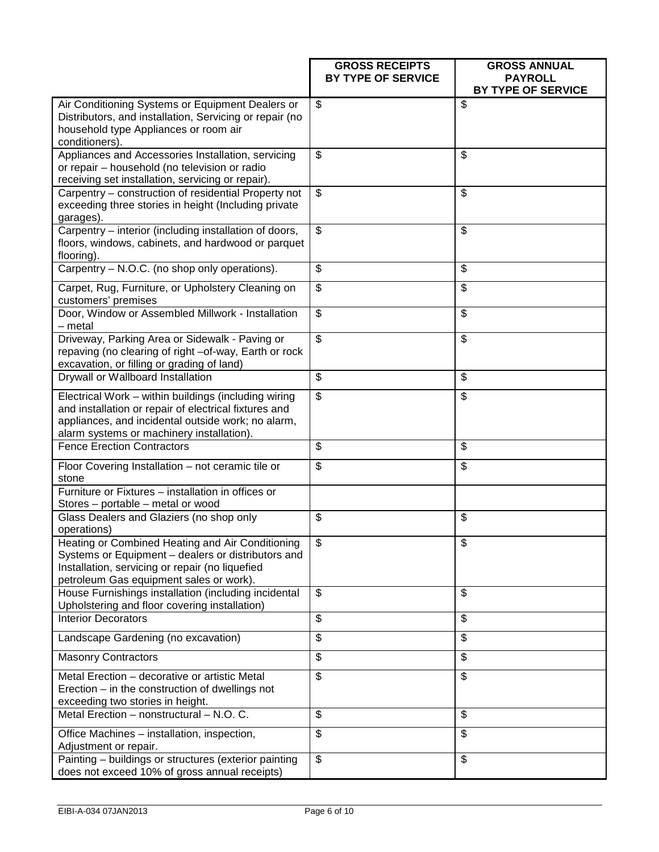|                                                                                                                                                                                                                  | <b>GROSS RECEIPTS</b><br>BY TYPE OF SERVICE | <b>GROSS ANNUAL</b><br><b>PAYROLL</b> |
|------------------------------------------------------------------------------------------------------------------------------------------------------------------------------------------------------------------|---------------------------------------------|---------------------------------------|
|                                                                                                                                                                                                                  |                                             | BY TYPE OF SERVICE                    |
| Air Conditioning Systems or Equipment Dealers or<br>Distributors, and installation, Servicing or repair (no<br>household type Appliances or room air<br>conditioners).                                           | $\mathfrak{S}$                              | \$                                    |
| Appliances and Accessories Installation, servicing<br>or repair - household (no television or radio<br>receiving set installation, servicing or repair).                                                         | \$                                          | \$                                    |
| Carpentry - construction of residential Property not<br>exceeding three stories in height (Including private<br>garages).                                                                                        | $\overline{\mathbf{S}}$                     | \$                                    |
| Carpentry - interior (including installation of doors,<br>floors, windows, cabinets, and hardwood or parquet<br>flooring).                                                                                       | $\overline{\mathcal{G}}$                    | \$                                    |
| Carpentry - N.O.C. (no shop only operations).                                                                                                                                                                    | \$                                          | \$                                    |
| Carpet, Rug, Furniture, or Upholstery Cleaning on<br>customers' premises                                                                                                                                         | $\overline{\mathcal{S}}$                    | \$                                    |
| Door, Window or Assembled Millwork - Installation<br>- metal                                                                                                                                                     | \$                                          | \$                                    |
| Driveway, Parking Area or Sidewalk - Paving or<br>repaving (no clearing of right -of-way, Earth or rock<br>excavation, or filling or grading of land)                                                            | $\mathfrak{S}$                              | \$                                    |
| Drywall or Wallboard Installation                                                                                                                                                                                | \$                                          | \$                                    |
| Electrical Work - within buildings (including wiring<br>and installation or repair of electrical fixtures and<br>appliances, and incidental outside work; no alarm,<br>alarm systems or machinery installation). | \$                                          | \$                                    |
| <b>Fence Erection Contractors</b>                                                                                                                                                                                | \$                                          | \$                                    |
| Floor Covering Installation - not ceramic tile or<br>stone                                                                                                                                                       | \$                                          | \$                                    |
| Furniture or Fixtures - installation in offices or<br>Stores - portable - metal or wood                                                                                                                          |                                             |                                       |
| Glass Dealers and Glaziers (no shop only<br>operations)                                                                                                                                                          | \$                                          | \$                                    |
| Heating or Combined Heating and Air Conditioning<br>Systems or Equipment - dealers or distributors and<br>Installation, servicing or repair (no liquefied<br>petroleum Gas equipment sales or work).             | \$                                          | \$                                    |
| House Furnishings installation (including incidental<br>Upholstering and floor covering installation)                                                                                                            | \$                                          | \$                                    |
| <b>Interior Decorators</b>                                                                                                                                                                                       | \$                                          | \$                                    |
| Landscape Gardening (no excavation)                                                                                                                                                                              | \$                                          | \$                                    |
| <b>Masonry Contractors</b>                                                                                                                                                                                       | \$                                          | \$                                    |
| Metal Erection - decorative or artistic Metal<br>Erection – in the construction of dwellings not<br>exceeding two stories in height.                                                                             | \$                                          | \$                                    |
| Metal Erection - nonstructural - N.O. C.                                                                                                                                                                         | \$                                          | \$                                    |
| Office Machines - installation, inspection,<br>Adjustment or repair.                                                                                                                                             | \$                                          | \$                                    |
| Painting - buildings or structures (exterior painting<br>does not exceed 10% of gross annual receipts)                                                                                                           | \$                                          | \$                                    |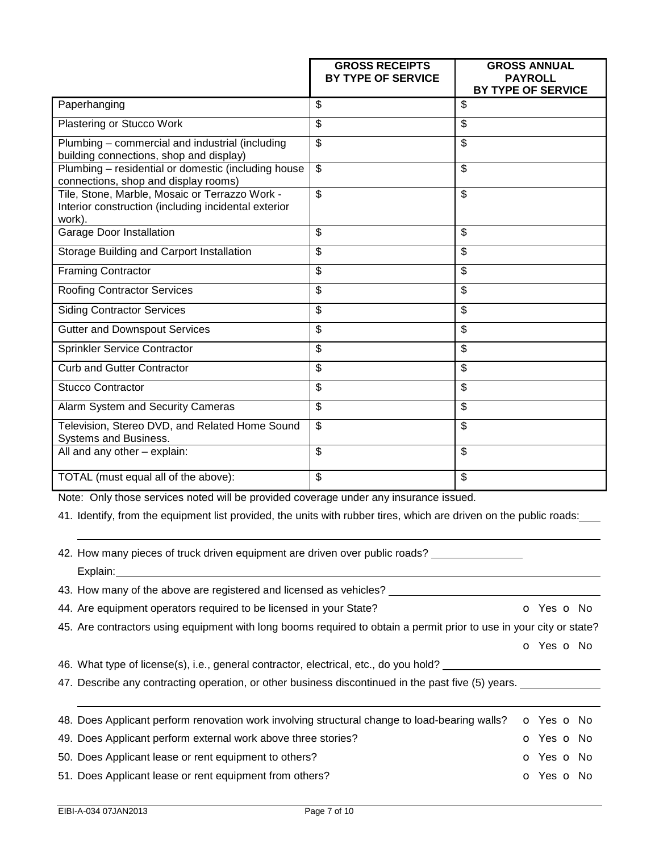|                                                                                                                                                                                                             | <b>GROSS RECEIPTS</b><br><b>BY TYPE OF SERVICE</b> | <b>GROSS ANNUAL</b><br><b>PAYROLL</b><br>BY TYPE OF SERVICE |
|-------------------------------------------------------------------------------------------------------------------------------------------------------------------------------------------------------------|----------------------------------------------------|-------------------------------------------------------------|
| Paperhanging                                                                                                                                                                                                | \$                                                 | \$                                                          |
| Plastering or Stucco Work                                                                                                                                                                                   | \$                                                 | \$                                                          |
| Plumbing – commercial and industrial (including<br>building connections, shop and display)                                                                                                                  | $\overline{\$}$                                    | \$                                                          |
| Plumbing - residential or domestic (including house<br>connections, shop and display rooms)                                                                                                                 | $\overline{\mathcal{S}}$                           | \$                                                          |
| Tile, Stone, Marble, Mosaic or Terrazzo Work -<br>Interior construction (including incidental exterior<br>work).                                                                                            | $\overline{\$}$                                    | $\overline{\mathcal{S}}$                                    |
| <b>Garage Door Installation</b>                                                                                                                                                                             | $\overline{\mathcal{G}}$                           | \$                                                          |
| Storage Building and Carport Installation                                                                                                                                                                   | \$                                                 | $\overline{\mathcal{S}}$                                    |
| <b>Framing Contractor</b>                                                                                                                                                                                   | \$                                                 | \$                                                          |
| <b>Roofing Contractor Services</b>                                                                                                                                                                          | \$                                                 | \$                                                          |
| <b>Siding Contractor Services</b>                                                                                                                                                                           | \$                                                 | \$                                                          |
| <b>Gutter and Downspout Services</b>                                                                                                                                                                        | $\overline{\mathcal{S}}$                           | \$                                                          |
| <b>Sprinkler Service Contractor</b>                                                                                                                                                                         | \$                                                 | \$                                                          |
| <b>Curb and Gutter Contractor</b>                                                                                                                                                                           | \$                                                 | $\overline{\mathcal{G}}$                                    |
| <b>Stucco Contractor</b>                                                                                                                                                                                    | \$                                                 | \$                                                          |
| Alarm System and Security Cameras                                                                                                                                                                           | \$                                                 | \$                                                          |
| Television, Stereo DVD, and Related Home Sound<br>Systems and Business.                                                                                                                                     | \$                                                 | \$                                                          |
| $\overline{All}$ and any other $-$ explain:                                                                                                                                                                 | $\overline{\mathcal{S}}$                           | \$                                                          |
| TOTAL (must equal all of the above):                                                                                                                                                                        | \$                                                 | \$                                                          |
| Note: Only those services noted will be provided coverage under any insurance issued.<br>41. Identify, from the equipment list provided, the units with rubber tires, which are driven on the public roads: |                                                    |                                                             |
| 42. How many pieces of truck driven equipment are driven over public roads?<br>Explain:<br>43. How many of the above are registered and licensed as vehicles?                                               |                                                    |                                                             |

- 44. Are equipment operators required to be licensed in your State? **o COM** O Yes O No
- 45. Are contractors using equipment with long booms required to obtain a permit prior to use in your city or state?

o Yes o No

- 46. What type of license(s), i.e., general contractor, electrical, etc., do you hold? \_\_\_\_\_\_\_\_\_\_\_\_\_\_\_\_\_\_\_\_\_\_\_\_
- 47. Describe any contracting operation, or other business discontinued in the past five (5) years. \_\_\_\_\_\_\_\_\_\_\_

| 48. Does Applicant perform renovation work involving structural change to load-bearing walls? | <b>o</b> Yes <b>o</b> No |  |
|-----------------------------------------------------------------------------------------------|--------------------------|--|
| 49. Does Applicant perform external work above three stories?                                 | O Yes O No               |  |
| 50. Does Applicant lease or rent equipment to others?                                         | <b>O</b> Yes <b>O</b> No |  |
| 51. Does Applicant lease or rent equipment from others?                                       | O Yes O No               |  |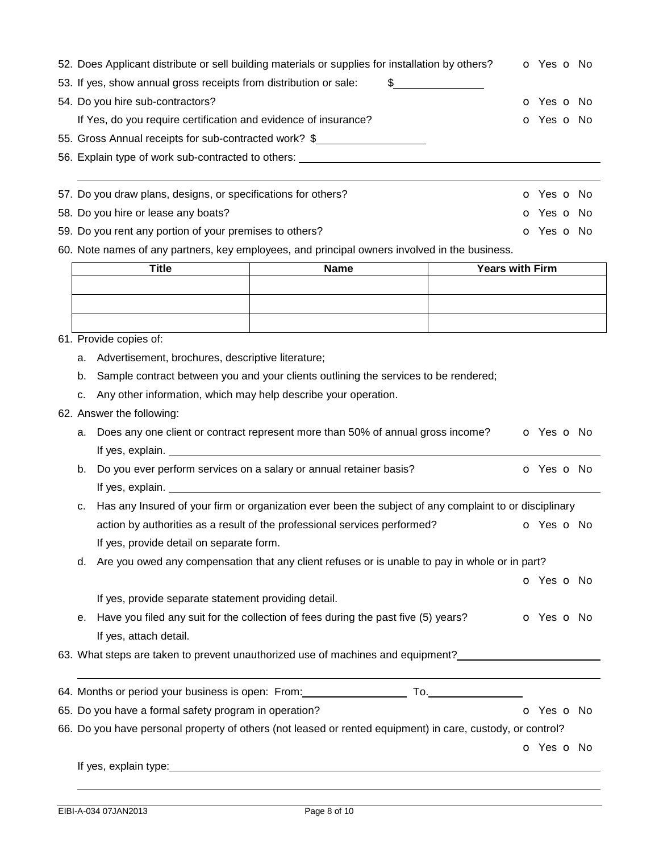| 52. Does Applicant distribute or sell building materials or supplies for installation by others?<br>53. If yes, show annual gross receipts from distribution or sale:                                                          | \$                                                    | o Yes o No               |  |  |  |  |  |  |  |  |
|--------------------------------------------------------------------------------------------------------------------------------------------------------------------------------------------------------------------------------|-------------------------------------------------------|--------------------------|--|--|--|--|--|--|--|--|
| 54. Do you hire sub-contractors?                                                                                                                                                                                               | o Yes o No                                            |                          |  |  |  |  |  |  |  |  |
| If Yes, do you require certification and evidence of insurance?                                                                                                                                                                |                                                       | O Yes O No               |  |  |  |  |  |  |  |  |
|                                                                                                                                                                                                                                | 55. Gross Annual receipts for sub-contracted work? \$ |                          |  |  |  |  |  |  |  |  |
| 56. Explain type of work sub-contracted to others: _____________________________                                                                                                                                               |                                                       |                          |  |  |  |  |  |  |  |  |
|                                                                                                                                                                                                                                |                                                       |                          |  |  |  |  |  |  |  |  |
| 57. Do you draw plans, designs, or specifications for others?                                                                                                                                                                  |                                                       | o Yes o No               |  |  |  |  |  |  |  |  |
| 58. Do you hire or lease any boats?                                                                                                                                                                                            |                                                       | o Yes o No               |  |  |  |  |  |  |  |  |
| 59. Do you rent any portion of your premises to others?                                                                                                                                                                        |                                                       | <b>o</b> Yes <b>o</b> No |  |  |  |  |  |  |  |  |
| 60. Note names of any partners, key employees, and principal owners involved in the business.                                                                                                                                  |                                                       |                          |  |  |  |  |  |  |  |  |
| <b>Title</b>                                                                                                                                                                                                                   | <b>Years with Firm</b><br><b>Name</b>                 |                          |  |  |  |  |  |  |  |  |
|                                                                                                                                                                                                                                |                                                       |                          |  |  |  |  |  |  |  |  |
|                                                                                                                                                                                                                                |                                                       |                          |  |  |  |  |  |  |  |  |
|                                                                                                                                                                                                                                |                                                       |                          |  |  |  |  |  |  |  |  |
| 61. Provide copies of:                                                                                                                                                                                                         |                                                       |                          |  |  |  |  |  |  |  |  |
| Advertisement, brochures, descriptive literature;<br>a.                                                                                                                                                                        |                                                       |                          |  |  |  |  |  |  |  |  |
| Sample contract between you and your clients outlining the services to be rendered;<br>b.                                                                                                                                      |                                                       |                          |  |  |  |  |  |  |  |  |
| Any other information, which may help describe your operation.<br>c.                                                                                                                                                           |                                                       |                          |  |  |  |  |  |  |  |  |
| 62. Answer the following:                                                                                                                                                                                                      |                                                       |                          |  |  |  |  |  |  |  |  |
| Does any one client or contract represent more than 50% of annual gross income?<br>a.                                                                                                                                          |                                                       | O Yes O No               |  |  |  |  |  |  |  |  |
|                                                                                                                                                                                                                                |                                                       |                          |  |  |  |  |  |  |  |  |
| Do you ever perform services on a salary or annual retainer basis?<br>b.                                                                                                                                                       |                                                       | O Yes O No               |  |  |  |  |  |  |  |  |
| If yes, explain. The same state of the state of the state of the state of the state of the state of the state of the state of the state of the state of the state of the state of the state of the state of the state of the s |                                                       |                          |  |  |  |  |  |  |  |  |

c. Has any Insured of your firm or organization ever been the subject of any complaint to or disciplinary action by authorities as a result of the professional services performed? **o** Yes **o** No If yes, provide detail on separate form.

d. Are you owed any compensation that any client refuses or is unable to pay in whole or in part?

|                                                                                       | <b>o</b> Yes <b>o</b> No |
|---------------------------------------------------------------------------------------|--------------------------|
| If yes, provide separate statement providing detail.                                  |                          |
| e. Have you filed any suit for the collection of fees during the past five (5) years? | o Yes o No               |
| If yes, attach detail.                                                                |                          |

63. What steps are taken to prevent unauthorized use of machines and equipment?\_\_\_\_\_\_\_\_\_\_\_\_\_\_\_\_\_\_\_\_

| 64. Months or period your business is open: From: |  |  |
|---------------------------------------------------|--|--|
|---------------------------------------------------|--|--|

|  |  | 65. Do you have a formal safety program in operation? |  |  |
|--|--|-------------------------------------------------------|--|--|
|--|--|-------------------------------------------------------|--|--|

66. Do you have personal property of others (not leased or rented equipment) in care, custody, or control?

o Yes o No

o Yes o No

If yes, explain type: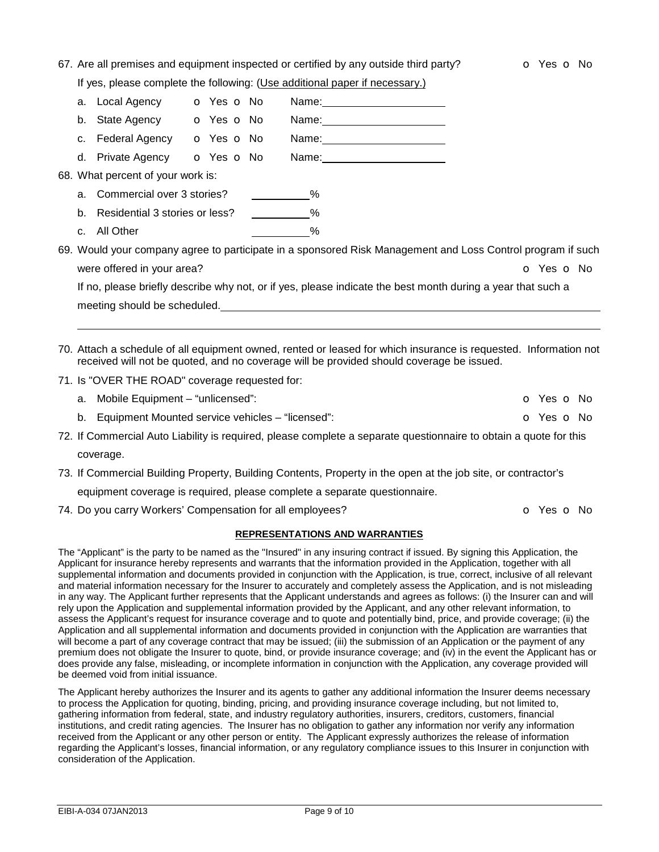|  |  |  |  |  |  | 67. Are all premises and equipment inspected or certified by any outside third party? |  |
|--|--|--|--|--|--|---------------------------------------------------------------------------------------|--|
|  |  |  |  |  |  |                                                                                       |  |

If yes, please complete the following: (Use additional paper if necessary.)

|    | a. Local Agency <b>o</b> Yes <b>o</b> No   |  |  | Name: _________________________                                                                                                                                                                                               |
|----|--------------------------------------------|--|--|-------------------------------------------------------------------------------------------------------------------------------------------------------------------------------------------------------------------------------|
|    | b. State Agency <b>o</b> Yes <b>o</b> No   |  |  |                                                                                                                                                                                                                               |
| C. | Federal Agency <b>o</b> Yes <b>o</b> No    |  |  |                                                                                                                                                                                                                               |
|    | d. Private Agency <b>o</b> Yes <b>o</b> No |  |  |                                                                                                                                                                                                                               |
|    | 68. What percent of your work is:          |  |  |                                                                                                                                                                                                                               |
|    | a. Commercial over 3 stories? __________%  |  |  |                                                                                                                                                                                                                               |
| b. | Residential 3 stories or less? __________% |  |  |                                                                                                                                                                                                                               |
|    | c. All Other                               |  |  | $\%$                                                                                                                                                                                                                          |
|    |                                            |  |  | 69. Would your company agree to participate in a sponsored Risk Management and Loss Control program if such                                                                                                                   |
|    | were offered in your area?                 |  |  | o Yes o No                                                                                                                                                                                                                    |
|    |                                            |  |  | If no, please briefly describe why not, or if yes, please indicate the best month during a year that such a                                                                                                                   |
|    |                                            |  |  | meeting should be scheduled. The manufacturer of the state of the state of the state of the state of the state of the state of the state of the state of the state of the state of the state of the state of the state of the |
|    |                                            |  |  |                                                                                                                                                                                                                               |
|    |                                            |  |  |                                                                                                                                                                                                                               |
|    |                                            |  |  | 70. Attach a schedule of all equipment owned, rented or leased for which insurance is requested. Information not<br>received will not be quoted, and no coverage will be provided should coverage be issued.                  |
|    |                                            |  |  |                                                                                                                                                                                                                               |

71. Is "OVER THE ROAD" coverage requested for:

|  | a. Mobile Equipment - "unlicensed":                                                                               |  | <b>o</b> Yes <b>o</b> No |
|--|-------------------------------------------------------------------------------------------------------------------|--|--------------------------|
|  | b. Equipment Mounted service vehicles – "licensed":                                                               |  | o Yes o No               |
|  | 72. If Commercial Auto Liability is required, please complete a separate questionnaire to obtain a quote for this |  |                          |

coverage.

73. If Commercial Building Property, Building Contents, Property in the open at the job site, or contractor's

equipment coverage is required, please complete a separate questionnaire.

74. Do you carry Workers' Compensation for all employees? **Canadiates and Solution Computer** o Yes **o** No

#### **REPRESENTATIONS AND WARRANTIES**

The "Applicant" is the party to be named as the "Insured" in any insuring contract if issued. By signing this Application, the Applicant for insurance hereby represents and warrants that the information provided in the Application, together with all supplemental information and documents provided in conjunction with the Application, is true, correct, inclusive of all relevant and material information necessary for the Insurer to accurately and completely assess the Application, and is not misleading in any way. The Applicant further represents that the Applicant understands and agrees as follows: (i) the Insurer can and will rely upon the Application and supplemental information provided by the Applicant, and any other relevant information, to assess the Applicant's request for insurance coverage and to quote and potentially bind, price, and provide coverage; (ii) the Application and all supplemental information and documents provided in conjunction with the Application are warranties that will become a part of any coverage contract that may be issued; (iii) the submission of an Application or the payment of any premium does not obligate the Insurer to quote, bind, or provide insurance coverage; and (iv) in the event the Applicant has or does provide any false, misleading, or incomplete information in conjunction with the Application, any coverage provided will be deemed void from initial issuance.

The Applicant hereby authorizes the Insurer and its agents to gather any additional information the Insurer deems necessary to process the Application for quoting, binding, pricing, and providing insurance coverage including, but not limited to, gathering information from federal, state, and industry regulatory authorities, insurers, creditors, customers, financial institutions, and credit rating agencies. The Insurer has no obligation to gather any information nor verify any information received from the Applicant or any other person or entity. The Applicant expressly authorizes the release of information regarding the Applicant's losses, financial information, or any regulatory compliance issues to this Insurer in conjunction with consideration of the Application.